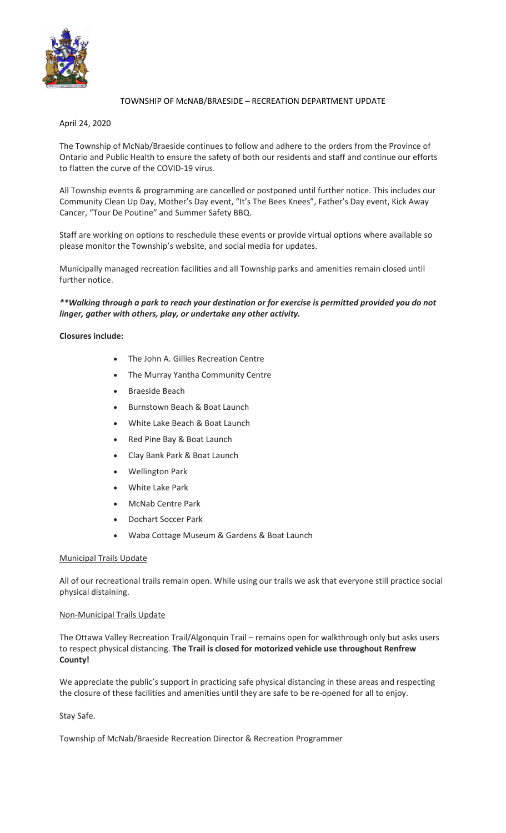

# TOWNSHIP OF McNAB/BRAESIDE – RECREATION DEPARTMENT UPDATE

April 24, 2020

The Township of McNab/Braeside continues to follow and adhere to the orders from the Province of Ontario and Public Health to ensure the safety of both our residents and staff and continue our efforts to flatten the curve of the COVID-19 virus.

All Township events & programming are cancelled or postponed until further notice. This includes our Community Clean Up Day, Mother's Day event, "It's The Bees Knees", Father's Day event, Kick Away Cancer, "Tour De Poutine" and Summer Safety BBQ.

Staff are working on options to reschedule these events or provide virtual options where available so please monitor the Township's website, and social media for updates.

Municipally managed recreation facilities and all Township parks and amenities remain closed until further notice.

## *\*\*Walking through a park to reach your destination or for exercise is permitted provided you do not linger, gather with others, play, or undertake any other activity.*

## **Closures include:**

- The John A. Gillies Recreation Centre
- The Murray Yantha Community Centre
- Braeside Beach
- Burnstown Beach & Boat Launch
- White Lake Beach & Boat Launch
- Red Pine Bay & Boat Launch
- Clay Bank Park & Boat Launch
- Wellington Park
- White Lake Park
- McNab Centre Park
- Dochart Soccer Park
- Waba Cottage Museum & Gardens & Boat Launch

## Municipal Trails Update

All of our recreational trails remain open. While using our trails we ask that everyone still practice social physical distaining.

## Non-Municipal Trails Update

The Ottawa Valley Recreation Trail/Algonquin Trail – remains open for walkthrough only but asks users to respect physical distancing. **The Trail is closed for motorized vehicle use throughout Renfrew County!**

We appreciate the public's support in practicing safe physical distancing in these areas and respecting the closure of these facilities and amenities until they are safe to be re-opened for all to enjoy.

## Stay Safe.

Township of McNab/Braeside Recreation Director & Recreation Programmer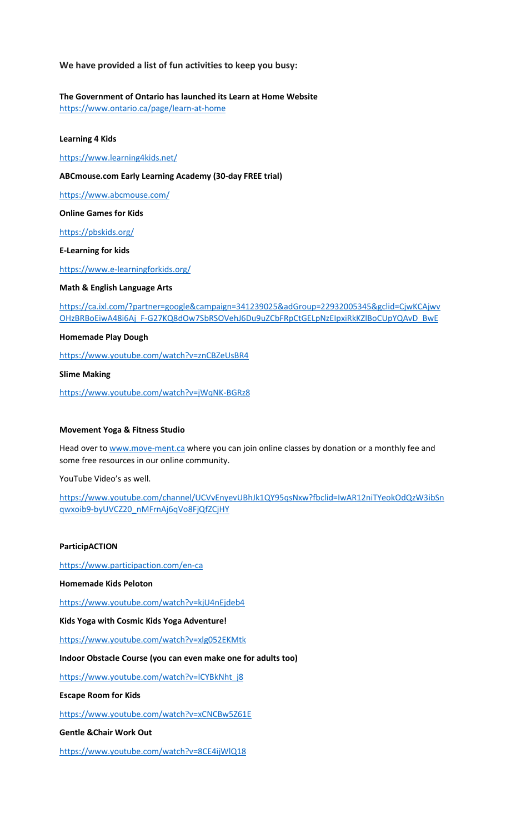**We have provided a list of fun activities to keep you busy:**

**The Government of Ontario has launched its Learn at Home Website**

<https://www.ontario.ca/page/learn-at-home>

**Learning 4 Kids**

<https://www.learning4kids.net/>

**ABCmouse.com Early Learning Academy (30-day FREE trial)**

<https://www.abcmouse.com/>

**Online Games for Kids**

<https://pbskids.org/>

**E-Learning for kids**

<https://www.e-learningforkids.org/>

**Math & English Language Arts**

[https://ca.ixl.com/?partner=google&campaign=341239025&adGroup=22932005345&gclid=CjwKCAjwv](https://ca.ixl.com/?partner=google&campaign=341239025&adGroup=22932005345&gclid=CjwKCAjwvOHzBRBoEiwA48i6Aj_F-G27KQ8dOw7SbRSOVehJ6Du9uZCbFRpCtGELpNzEIpxiRkKZlBoCUpYQAvD_BwE) [OHzBRBoEiwA48i6Aj\\_F-G27KQ8dOw7SbRSOVehJ6Du9uZCbFRpCtGELpNzEIpxiRkKZlBoCUpYQAvD\\_BwE](https://ca.ixl.com/?partner=google&campaign=341239025&adGroup=22932005345&gclid=CjwKCAjwvOHzBRBoEiwA48i6Aj_F-G27KQ8dOw7SbRSOVehJ6Du9uZCbFRpCtGELpNzEIpxiRkKZlBoCUpYQAvD_BwE)

**Homemade Play Dough**

<https://www.youtube.com/watch?v=znCBZeUsBR4>

**Slime Making**

<https://www.youtube.com/watch?v=jWqNK-BGRz8>

#### **Movement Yoga & Fitness Studio**

Head over t[o www.move-ment.ca](http://www.move-ment.ca/) where you can join online classes by donation or a monthly fee and some free resources in our online community.

YouTube Video's as well.

[https://www.youtube.com/channel/UCVvEnyevUBhJk1QY95qsNxw?fbclid=IwAR12niTYeokOdQzW3ibSn](https://www.youtube.com/channel/UCVvEnyevUBhJk1QY95qsNxw?fbclid=IwAR12niTYeokOdQzW3ibSnqwxoib9-byUVCZ20_nMFrnAj6qVo8FjQfZCjHY) [qwxoib9-byUVCZ20\\_nMFrnAj6qVo8FjQfZCjHY](https://www.youtube.com/channel/UCVvEnyevUBhJk1QY95qsNxw?fbclid=IwAR12niTYeokOdQzW3ibSnqwxoib9-byUVCZ20_nMFrnAj6qVo8FjQfZCjHY)

### **ParticipACTION**

<https://www.participaction.com/en-ca>

**Homemade Kids Peloton**

<https://www.youtube.com/watch?v=kjU4nEjdeb4>

**Kids Yoga with Cosmic Kids Yoga Adventure!**

<https://www.youtube.com/watch?v=xlg052EKMtk>

### **Indoor Obstacle Course (you can even make one for adults too)**

https://www.youtube.com/watch?v=ICYBkNht\_j8

**Escape Room for Kids**

<https://www.youtube.com/watch?v=xCNCBw5Z61E>

**Gentle &Chair Work Out**

<https://www.youtube.com/watch?v=8CE4ijWlQ18>